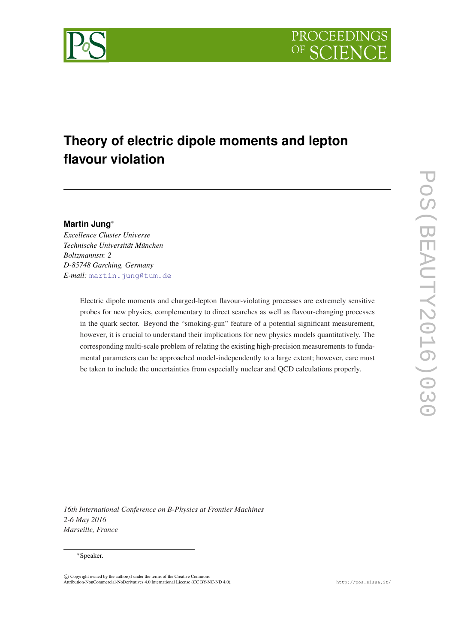

# **Theory of electric dipole moments and lepton flavour violation**

## **Martin Jung**<sup>∗</sup>

*Excellence Cluster Universe Technische Universität München Boltzmannstr. 2 D-85748 Garching, Germany E-mail:* [martin.jung@tum.de](mailto:martin.jung@tum.de)

> Electric dipole moments and charged-lepton flavour-violating processes are extremely sensitive probes for new physics, complementary to direct searches as well as flavour-changing processes in the quark sector. Beyond the "smoking-gun" feature of a potential significant measurement, however, it is crucial to understand their implications for new physics models quantitatively. The corresponding multi-scale problem of relating the existing high-precision measurements to fundamental parameters can be approached model-independently to a large extent; however, care must be taken to include the uncertainties from especially nuclear and QCD calculations properly.

POS(PEAUTY2016)030 PoS(BEAUTY2016)030

*16th International Conference on B-Physics at Frontier Machines 2-6 May 2016 Marseille, France*

#### <sup>∗</sup>Speaker.

 $\overline{c}$  Copyright owned by the author(s) under the terms of the Creative Common Attribution-NonCommercial-NoDerivatives 4.0 International License (CC BY-NC-ND 4.0). http://pos.sissa.it/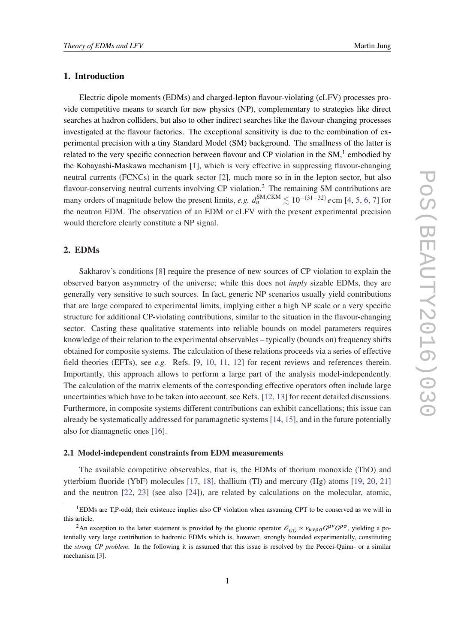## 1. Introduction

Electric dipole moments (EDMs) and charged-lepton flavour-violating (cLFV) processes provide competitive means to search for new physics (NP), complementary to strategies like direct searches at hadron colliders, but also to other indirect searches like the flavour-changing processes investigated at the flavour factories. The exceptional sensitivity is due to the combination of experimental precision with a tiny Standard Model (SM) background. The smallness of the latter is related to the very specific connection between flavour and CP violation in the SM, $<sup>1</sup>$  embodied by</sup> the Kobayashi-Maskawa mechanism [[1](#page-6-0)], which is very effective in suppressing flavour-changing neutral currents (FCNCs) in the quark sector [\[2\]](#page-6-0), much more so in in the lepton sector, but also flavour-conserving neutral currents involving CP violation.<sup>2</sup> The remaining SM contributions are many orders of magnitude below the present limits, *e.g.*  $d_n^{\text{SM,CKM}} \lesssim 10^{-(31-32)} e \text{ cm}$  [\[4,](#page-6-0) [5,](#page-6-0) [6,](#page-6-0) [7\]](#page-6-0) for the neutron EDM. The observation of an EDM or cLFV with the present experimental precision would therefore clearly constitute a NP signal.

## 2. EDMs

Sakharov's conditions [\[8\]](#page-6-0) require the presence of new sources of CP violation to explain the observed baryon asymmetry of the universe; while this does not *imply* sizable EDMs, they are generally very sensitive to such sources. In fact, generic NP scenarios usually yield contributions that are large compared to experimental limits, implying either a high NP scale or a very specific structure for additional CP-violating contributions, similar to the situation in the flavour-changing sector. Casting these qualitative statements into reliable bounds on model parameters requires knowledge of their relation to the experimental observables – typically (bounds on) frequency shifts obtained for composite systems. The calculation of these relations proceeds via a series of effective field theories (EFTs), see *e.g.* Refs. [[9](#page-6-0), [10](#page-6-0), [11](#page-6-0), [12](#page-6-0)] for recent reviews and references therein. Importantly, this approach allows to perform a large part of the analysis model-independently. The calculation of the matrix elements of the corresponding effective operators often include large uncertainties which have to be taken into account, see Refs. [[12,](#page-6-0) [13\]](#page-6-0) for recent detailed discussions. Furthermore, in composite systems different contributions can exhibit cancellations; this issue can already be systematically addressed for paramagnetic systems [[14,](#page-6-0) [15\]](#page-6-0), and in the future potentially also for diamagnetic ones [\[16](#page-6-0)].

#### 2.1 Model-independent constraints from EDM measurements

The available competitive observables, that is, the EDMs of thorium monoxide (ThO) and ytterbium fluoride (YbF) molecules [\[17](#page-6-0), [18](#page-7-0)], thallium (Tl) and mercury (Hg) atoms [\[19](#page-7-0), [20](#page-7-0), [21](#page-7-0)] and the neutron [\[22](#page-7-0), [23](#page-7-0)] (see also [[24\]](#page-7-0)), are related by calculations on the molecular, atomic,

 $1<sup>1</sup>$ EDMs are T,P-odd; their existence implies also CP violation when assuming CPT to be conserved as we will in this article.

<sup>&</sup>lt;sup>2</sup>An exception to the latter statement is provided by the gluonic operator  $\mathcal{O}_{G\tilde{G}} \propto \epsilon_{\mu\nu\rho\sigma} G^{\mu\nu} G^{\rho\sigma}$ , yielding a potentially very large contribution to hadronic EDMs which is, however, strongly bounded experimentally, constituting the *strong CP problem*. In the following it is assumed that this issue is resolved by the Peccei-Quinn- or a similar mechanism [\[3\]](#page-6-0).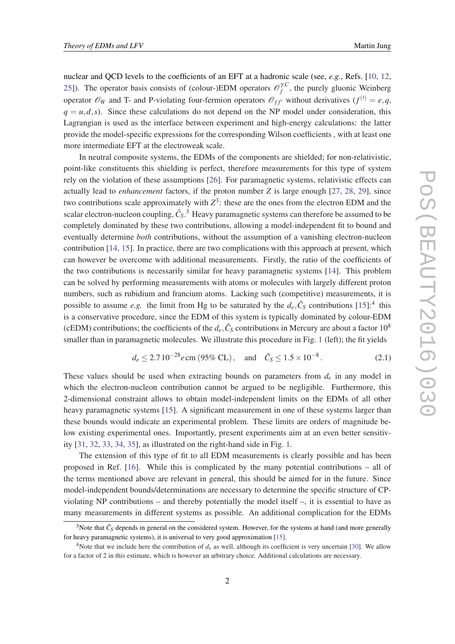nuclear and QCD levels to the coefficients of an EFT at a hadronic scale (see, *e.g.*, Refs. [\[10](#page-6-0), [12](#page-6-0), [25](#page-7-0)]). The operator basis consists of (colour-)EDM operators  $\mathcal{O}_f^{\gamma, C}$  $f_f^{\prime, \mathcal{C}}$ , the purely gluonic Weinberg operator  $\mathcal{O}_W$  and T- and P-violating four-fermion operators  $\mathcal{O}_{ff'}$  without derivatives  $(f^{(l)} = e, q, q)$  $q = u, d, s$ ). Since these calculations do not depend on the NP model under consideration, this Lagrangian is used as the interface between experiment and high-energy calculations: the latter provide the model-specific expressions for the corresponding Wilson coefficients , with at least one more intermediate EFT at the electroweak scale.

In neutral composite systems, the EDMs of the components are shielded; for non-relativistic, point-like constituents this shielding is perfect, therefore measurements for this type of system rely on the violation of these assumptions [[26\]](#page-7-0). For paramagnetic systems, relativistic effects can actually lead to *enhancement* factors, if the proton number *Z* is large enough [\[27](#page-7-0), [28](#page-7-0), [29](#page-7-0)], since two contributions scale approximately with  $Z^3$ : these are the ones from the electron EDM and the scalar electron-nucleon coupling,  $\tilde{C}_S$ .<sup>3</sup> Heavy paramagnetic systems can therefore be assumed to be completely dominated by these two contributions, allowing a model-independent fit to bound and eventually determine *both* contributions, without the assumption of a vanishing electron-nucleon contribution [[14,](#page-6-0) [15\]](#page-6-0). In practice, there are two complications with this approach at present, which can however be overcome with additional measurements. Firstly, the ratio of the coefficients of the two contributions is necessarily similar for heavy paramagnetic systems [[14\]](#page-6-0). This problem can be solved by performing measurements with atoms or molecules with largely different proton numbers, such as rubidium and francium atoms. Lacking such (competitive) measurements, it is possible to assume *e.g.* the limit from Hg to be saturated by the  $d_e$ ,  $\tilde{C}_S$  contributions [[15\]](#page-6-0):<sup>4</sup> this is a conservative procedure, since the EDM of this system is typically dominated by colour-EDM (cEDM) contributions; the coefficients of the  $d_e$ ,  $\tilde{C}_S$  contributions in Mercury are about a factor  $10^8$ smaller than in paramagnetic molecules. We illustrate this procedure in Fig. [1](#page-3-0) (left); the fit yields

$$
d_e \le 2.7 10^{-28} e \text{ cm } (95\% \text{ CL}), \text{ and } \tilde{C}_S \le 1.5 \times 10^{-8}.
$$
 (2.1)

These values should be used when extracting bounds on parameters from *d<sup>e</sup>* in any model in which the electron-nucleon contribution cannot be argued to be negligible. Furthermore, this 2-dimensional constraint allows to obtain model-independent limits on the EDMs of all other heavy paramagnetic systems [[15\]](#page-6-0). A significant measurement in one of these systems larger than these bounds would indicate an experimental problem. These limits are orders of magnitude below existing experimental ones. Importantly, present experiments aim at an even better sensitivity [\[31](#page-7-0), [32](#page-7-0), [33,](#page-7-0) [34](#page-7-0), [35\]](#page-7-0), as illustrated on the right-hand side in Fig. [1.](#page-3-0)

The extension of this type of fit to all EDM measurements is clearly possible and has been proposed in Ref. [[16\]](#page-6-0). While this is complicated by the many potential contributions – all of the terms mentioned above are relevant in general, this should be aimed for in the future. Since model-independent bounds/determinations are necessary to determine the specific structure of CPviolating NP contributions – and thereby potentially the model itself –, it is essential to have as many measurements in different systems as possible. An additional complication for the EDMs

<sup>&</sup>lt;sup>3</sup>Note that  $\tilde{C}_S$  depends in general on the considered system. However, for the systems at hand (and more generally for heavy paramagnetic systems), it is universal to very good approximation [\[15](#page-6-0)].

<sup>&</sup>lt;sup>4</sup>Note that we include here the contribution of  $d_e$  as well, although its coefficient is very uncertain [\[30](#page-7-0)]. We allow for a factor of 2 in this estimate, which is however an arbitrary choice. Additional calculations are necessary.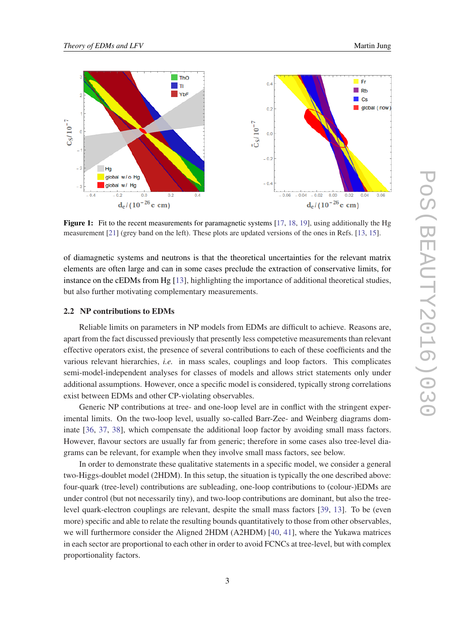<span id="page-3-0"></span>

**Figure 1:** Fit to the recent measurements for paramagnetic systems  $[17, 18, 19]$  $[17, 18, 19]$  $[17, 18, 19]$  $[17, 18, 19]$  $[17, 18, 19]$  $[17, 18, 19]$ , using additionally the Hg measurement [\[21](#page-7-0)] (grey band on the left). These plots are updated versions of the ones in Refs. [[13,](#page-6-0) [15\]](#page-6-0).

of diamagnetic systems and neutrons is that the theoretical uncertainties for the relevant matrix elements are often large and can in some cases preclude the extraction of conservative limits, for instance on the cEDMs from Hg [[13\]](#page-6-0), highlighting the importance of additional theoretical studies, but also further motivating complementary measurements.

#### 2.2 NP contributions to EDMs

Reliable limits on parameters in NP models from EDMs are difficult to achieve. Reasons are, apart from the fact discussed previously that presently less competetive measurements than relevant effective operators exist, the presence of several contributions to each of these coefficients and the various relevant hierarchies, *i.e.* in mass scales, couplings and loop factors. This complicates semi-model-independent analyses for classes of models and allows strict statements only under additional assumptions. However, once a specific model is considered, typically strong correlations exist between EDMs and other CP-violating observables.

Generic NP contributions at tree- and one-loop level are in conflict with the stringent experimental limits. On the two-loop level, usually so-called Barr-Zee- and Weinberg diagrams dominate [[36,](#page-7-0) [37](#page-8-0), [38\]](#page-8-0), which compensate the additional loop factor by avoiding small mass factors. However, flavour sectors are usually far from generic; therefore in some cases also tree-level diagrams can be relevant, for example when they involve small mass factors, see below.

In order to demonstrate these qualitative statements in a specific model, we consider a general two-Higgs-doublet model (2HDM). In this setup, the situation is typically the one described above: four-quark (tree-level) contributions are subleading, one-loop contributions to (colour-)EDMs are under control (but not necessarily tiny), and two-loop contributions are dominant, but also the treelevel quark-electron couplings are relevant, despite the small mass factors [\[39](#page-8-0), [13](#page-6-0)]. To be (even more) specific and able to relate the resulting bounds quantitatively to those from other observables, we will furthermore consider the Aligned 2HDM (A2HDM) [[40](#page-8-0), [41](#page-8-0)], where the Yukawa matrices in each sector are proportional to each other in order to avoid FCNCs at tree-level, but with complex proportionality factors.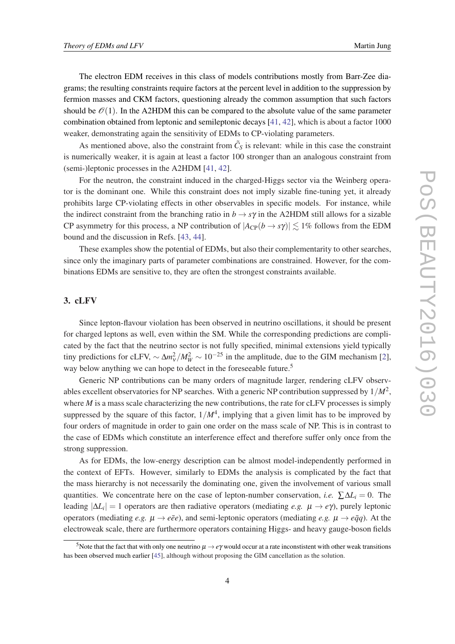The electron EDM receives in this class of models contributions mostly from Barr-Zee diagrams; the resulting constraints require factors at the percent level in addition to the suppression by fermion masses and CKM factors, questioning already the common assumption that such factors should be  $\mathcal{O}(1)$ . In the A2HDM this can be compared to the absolute value of the same parameter combination obtained from leptonic and semileptonic decays [[41,](#page-8-0) [42\]](#page-8-0), which is about a factor 1000 weaker, demonstrating again the sensitivity of EDMs to CP-violating parameters.

As mentioned above, also the constraint from  $\tilde{C}_S$  is relevant: while in this case the constraint is numerically weaker, it is again at least a factor 100 stronger than an analogous constraint from (semi-)leptonic processes in the A2HDM [[41,](#page-8-0) [42\]](#page-8-0).

For the neutron, the constraint induced in the charged-Higgs sector via the Weinberg operator is the dominant one. While this constraint does not imply sizable fine-tuning yet, it already prohibits large CP-violating effects in other observables in specific models. For instance, while the indirect constraint from the branching ratio in  $b \rightarrow s\gamma$  in the A2HDM still allows for a sizable CP asymmetry for this process, a NP contribution of  $|A_{\text{CP}}(b \to s\gamma)| \lesssim 1\%$  follows from the EDM bound and the discussion in Refs. [\[43](#page-8-0), [44\]](#page-8-0).

These examples show the potential of EDMs, but also their complementarity to other searches, since only the imaginary parts of parameter combinations are constrained. However, for the combinations EDMs are sensitive to, they are often the strongest constraints available.

## 3. cLFV

Since lepton-flavour violation has been observed in neutrino oscillations, it should be present for charged leptons as well, even within the SM. While the corresponding predictions are complicated by the fact that the neutrino sector is not fully specified, minimal extensions yield typically tiny predictions for cLFV,  $\sim \Delta m_v^2 / M_W^2 \sim 10^{-25}$  in the amplitude, due to the GIM mechanism [\[2\]](#page-6-0), way below anything we can hope to detect in the foreseeable future.<sup>5</sup>

Generic NP contributions can be many orders of magnitude larger, rendering cLFV observables excellent observatories for NP searches. With a generic NP contribution suppressed by  $1/M^2$ , where *M* is a mass scale characterizing the new contributions, the rate for cLFV processes is simply suppressed by the square of this factor,  $1/M^4$ , implying that a given limit has to be improved by four orders of magnitude in order to gain one order on the mass scale of NP. This is in contrast to the case of EDMs which constitute an interference effect and therefore suffer only once from the strong suppression.

As for EDMs, the low-energy description can be almost model-independently performed in the context of EFTs. However, similarly to EDMs the analysis is complicated by the fact that the mass hierarchy is not necessarily the dominating one, given the involvement of various small quantities. We concentrate here on the case of lepton-number conservation, *i.e.* ∑∆*L*<sub>*i*</sub> = 0. The leading  $|\Delta L_i| = 1$  operators are then radiative operators (mediating *e.g.*  $\mu \to e\gamma$ ), purely leptonic operators (mediating *e.g.*  $\mu \rightarrow e\bar{e}e$ ), and semi-leptonic operators (mediating *e.g.*  $\mu \rightarrow e\bar{q}q$ ). At the electroweak scale, there are furthermore operators containing Higgs- and heavy gauge-boson fields

<sup>&</sup>lt;sup>5</sup>Note that the fact that with only one neutrino  $\mu \to e\gamma$  would occur at a rate inconstistent with other weak transitions has been observed much earlier [\[45](#page-8-0)], although without proposing the GIM cancellation as the solution.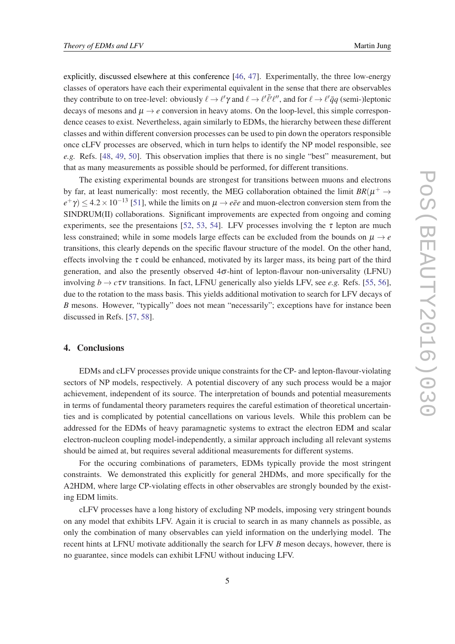explicitly, discussed elsewhere at this conference [[46,](#page-8-0) [47\]](#page-8-0). Experimentally, the three low-energy classes of operators have each their experimental equivalent in the sense that there are observables they contribute to on tree-level: obviously  $\ell \to \ell' \gamma$  and  $\ell \to \ell' \bar{\ell}' \ell''$ , and for  $\ell \to \ell' \bar{q}q$  (semi-)leptonic decays of mesons and  $\mu \rightarrow e$  conversion in heavy atoms. On the loop-level, this simple correspondence ceases to exist. Nevertheless, again similarly to EDMs, the hierarchy between these different classes and within different conversion processes can be used to pin down the operators responsible once cLFV processes are observed, which in turn helps to identify the NP model responsible, see *e.g.* Refs. [\[48,](#page-8-0) [49](#page-8-0), [50](#page-8-0)]. This observation implies that there is no single "best" measurement, but that as many measurements as possible should be performed, for different transitions.

The existing experimental bounds are strongest for transitions between muons and electrons by far, at least numerically: most recently, the MEG collaboration obtained the limit  $BR(\mu^+ \rightarrow$  $e^+\gamma$ )  $\leq$  4.2 × 10<sup>-13</sup> [\[51](#page-8-0)], while the limits on  $\mu \to e\bar{e}e$  and muon-electron conversion stem from the SINDRUM(II) collaborations. Significant improvements are expected from ongoing and coming experiments, see the presentaions [[52,](#page-8-0) [53](#page-8-0), [54\]](#page-8-0). LFV processes involving the  $\tau$  lepton are much less constrained; while in some models large effects can be excluded from the bounds on  $\mu \rightarrow e$ transitions, this clearly depends on the specific flavour structure of the model. On the other hand, effects involving the  $\tau$  could be enhanced, motivated by its larger mass, its being part of the third generation, and also the presently observed  $4\sigma$ -hint of lepton-flavour non-universality (LFNU) involving  $b \rightarrow c\tau v$  transitions. In fact, LFNU generically also yields LFV, see *e.g.* Refs. [\[55,](#page-8-0) [56\]](#page-9-0), due to the rotation to the mass basis. This yields additional motivation to search for LFV decays of *B* mesons. However, "typically" does not mean "necessarily"; exceptions have for instance been discussed in Refs. [\[57](#page-9-0), [58](#page-9-0)].

## 4. Conclusions

EDMs and cLFV processes provide unique constraints for the CP- and lepton-flavour-violating sectors of NP models, respectively. A potential discovery of any such process would be a major achievement, independent of its source. The interpretation of bounds and potential measurements in terms of fundamental theory parameters requires the careful estimation of theoretical uncertainties and is complicated by potential cancellations on various levels. While this problem can be addressed for the EDMs of heavy paramagnetic systems to extract the electron EDM and scalar electron-nucleon coupling model-independently, a similar approach including all relevant systems should be aimed at, but requires several additional measurements for different systems.

For the occuring combinations of parameters, EDMs typically provide the most stringent constraints. We demonstrated this explicitly for general 2HDMs, and more specifically for the A2HDM, where large CP-violating effects in other observables are strongly bounded by the existing EDM limits.

cLFV processes have a long history of excluding NP models, imposing very stringent bounds on any model that exhibits LFV. Again it is crucial to search in as many channels as possible, as only the combination of many observables can yield information on the underlying model. The recent hints at LFNU motivate additionally the search for LFV *B* meson decays, however, there is no guarantee, since models can exhibit LFNU without inducing LFV.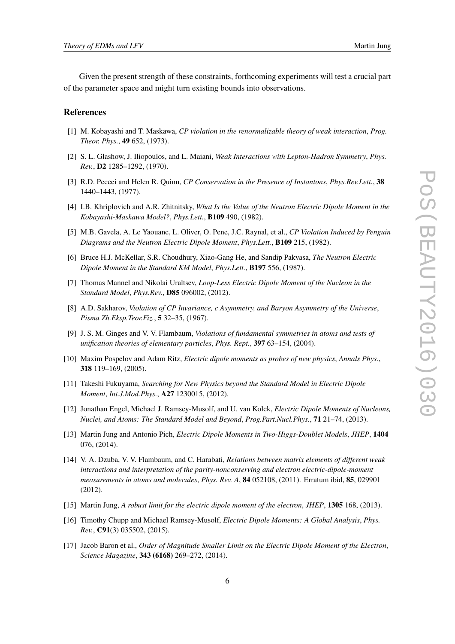<span id="page-6-0"></span>Given the present strength of these constraints, forthcoming experiments will test a crucial part of the parameter space and might turn existing bounds into observations.

### **References**

- [1] M. Kobayashi and T. Maskawa, *CP violation in the renormalizable theory of weak interaction*, *Prog. Theor. Phys.*, 49 652, (1973).
- [2] S. L. Glashow, J. Iliopoulos, and L. Maiani, *Weak Interactions with Lepton-Hadron Symmetry*, *Phys. Rev.*, D2 1285–1292, (1970).
- [3] R.D. Peccei and Helen R. Quinn, *CP Conservation in the Presence of Instantons*, *Phys.Rev.Lett.*, 38 1440–1443, (1977).
- [4] I.B. Khriplovich and A.R. Zhitnitsky, *What Is the Value of the Neutron Electric Dipole Moment in the Kobayashi-Maskawa Model?*, *Phys.Lett.*, B109 490, (1982).
- [5] M.B. Gavela, A. Le Yaouanc, L. Oliver, O. Pene, J.C. Raynal, et al., *CP Violation Induced by Penguin Diagrams and the Neutron Electric Dipole Moment*, *Phys.Lett.*, B109 215, (1982).
- [6] Bruce H.J. McKellar, S.R. Choudhury, Xiao-Gang He, and Sandip Pakvasa, *The Neutron Electric Dipole Moment in the Standard KM Model*, *Phys.Lett.*, B197 556, (1987).
- [7] Thomas Mannel and Nikolai Uraltsev, *Loop-Less Electric Dipole Moment of the Nucleon in the Standard Model*, *Phys.Rev.*, D85 096002, (2012).
- [8] A.D. Sakharov, *Violation of CP Invariance, c Asymmetry, and Baryon Asymmetry of the Universe*, *Pisma Zh.Eksp.Teor.Fiz.*, 5 32–35, (1967).
- [9] J. S. M. Ginges and V. V. Flambaum, *Violations of fundamental symmetries in atoms and tests of unification theories of elementary particles*, *Phys. Rept.*, 397 63–154, (2004).
- [10] Maxim Pospelov and Adam Ritz, *Electric dipole moments as probes of new physics*, *Annals Phys.*, 318 119–169, (2005).
- [11] Takeshi Fukuyama, *Searching for New Physics beyond the Standard Model in Electric Dipole Moment*, *Int.J.Mod.Phys.*, A27 1230015, (2012).
- [12] Jonathan Engel, Michael J. Ramsey-Musolf, and U. van Kolck, *Electric Dipole Moments of Nucleons, Nuclei, and Atoms: The Standard Model and Beyond*, *Prog.Part.Nucl.Phys.*, 71 21–74, (2013).
- [13] Martin Jung and Antonio Pich, *Electric Dipole Moments in Two-Higgs-Doublet Models*, *JHEP*, 1404 076, (2014).
- [14] V. A. Dzuba, V. V. Flambaum, and C. Harabati, *Relations between matrix elements of different weak interactions and interpretation of the parity-nonconserving and electron electric-dipole-moment measurements in atoms and molecules*, *Phys. Rev. A*, 84 052108, (2011). Erratum ibid, 85, 029901 (2012).
- [15] Martin Jung, *A robust limit for the electric dipole moment of the electron*, *JHEP*, 1305 168, (2013).
- [16] Timothy Chupp and Michael Ramsey-Musolf, *Electric Dipole Moments: A Global Analysis*, *Phys. Rev.*, C91(3) 035502, (2015).
- [17] Jacob Baron et al., *Order of Magnitude Smaller Limit on the Electric Dipole Moment of the Electron*, *Science Magazine*, 343 (6168) 269–272, (2014).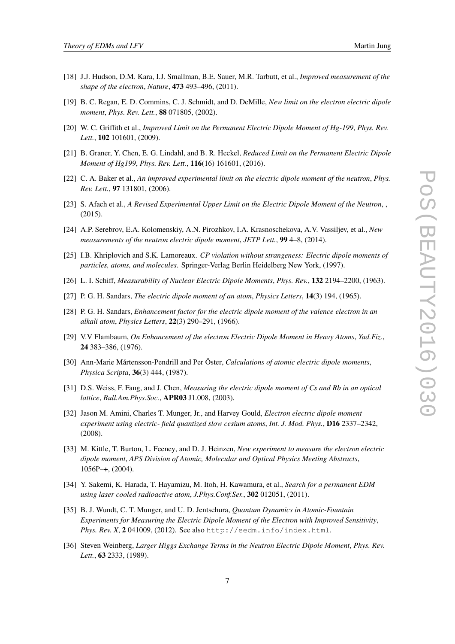- <span id="page-7-0"></span>[18] J.J. Hudson, D.M. Kara, I.J. Smallman, B.E. Sauer, M.R. Tarbutt, et al., *Improved measurement of the shape of the electron*, *Nature*, 473 493–496, (2011).
- [19] B. C. Regan, E. D. Commins, C. J. Schmidt, and D. DeMille, *New limit on the electron electric dipole moment*, *Phys. Rev. Lett.*, 88 071805, (2002).
- [20] W. C. Griffith et al., *Improved Limit on the Permanent Electric Dipole Moment of Hg-199*, *Phys. Rev. Lett.*, 102 101601, (2009).
- [21] B. Graner, Y. Chen, E. G. Lindahl, and B. R. Heckel, *Reduced Limit on the Permanent Electric Dipole Moment of Hg199*, *Phys. Rev. Lett.*, 116(16) 161601, (2016).
- [22] C. A. Baker et al., *An improved experimental limit on the electric dipole moment of the neutron*, *Phys. Rev. Lett.*, 97 131801, (2006).
- [23] S. Afach et al., *A Revised Experimental Upper Limit on the Electric Dipole Moment of the Neutron*, , (2015).
- [24] A.P. Serebrov, E.A. Kolomenskiy, A.N. Pirozhkov, I.A. Krasnoschekova, A.V. Vassiljev, et al., *New measurements of the neutron electric dipole moment*, *JETP Lett.*, 99 4–8, (2014).
- [25] I.B. Khriplovich and S.K. Lamoreaux. *CP violation without strangeness: Electric dipole moments of particles, atoms, and molecules*. Springer-Verlag Berlin Heidelberg New York, (1997).
- [26] L. I. Schiff, *Measurability of Nuclear Electric Dipole Moments*, *Phys. Rev.*, 132 2194–2200, (1963).
- [27] P. G. H. Sandars, *The electric dipole moment of an atom*, *Physics Letters*, 14(3) 194, (1965).
- [28] P. G. H. Sandars, *Enhancement factor for the electric dipole moment of the valence electron in an alkali atom*, *Physics Letters*, 22(3) 290–291, (1966).
- [29] V.V Flambaum, *On Enhancement of the electron Electric Dipole Moment in Heavy Atoms*, *Yad.Fiz.*, 24 383–386, (1976).
- [30] Ann-Marie Mårtensson-Pendrill and Per Öster, *Calculations of atomic electric dipole moments*, *Physica Scripta*, 36(3) 444, (1987).
- [31] D.S. Weiss, F. Fang, and J. Chen, *Measuring the electric dipole moment of Cs and Rb in an optical lattice*, *Bull.Am.Phys.Soc.*, APR03 J1.008, (2003).
- [32] Jason M. Amini, Charles T. Munger, Jr., and Harvey Gould, *Electron electric dipole moment experiment using electric- field quantized slow cesium atoms*, *Int. J. Mod. Phys.*, D16 2337–2342, (2008).
- [33] M. Kittle, T. Burton, L. Feeney, and D. J. Heinzen, *New experiment to measure the electron electric dipole moment*, *APS Division of Atomic, Molecular and Optical Physics Meeting Abstracts*, 1056P–+, (2004).
- [34] Y. Sakemi, K. Harada, T. Hayamizu, M. Itoh, H. Kawamura, et al., *Search for a permanent EDM using laser cooled radioactive atom*, *J.Phys.Conf.Ser.*, 302 012051, (2011).
- [35] B. J. Wundt, C. T. Munger, and U. D. Jentschura, *Quantum Dynamics in Atomic-Fountain Experiments for Measuring the Electric Dipole Moment of the Electron with Improved Sensitivity*, *Phys. Rev. X*, 2 041009, (2012). See also http://eedm.info/index.html.
- [36] Steven Weinberg, *Larger Higgs Exchange Terms in the Neutron Electric Dipole Moment*, *Phys. Rev. Lett.*, 63 2333, (1989).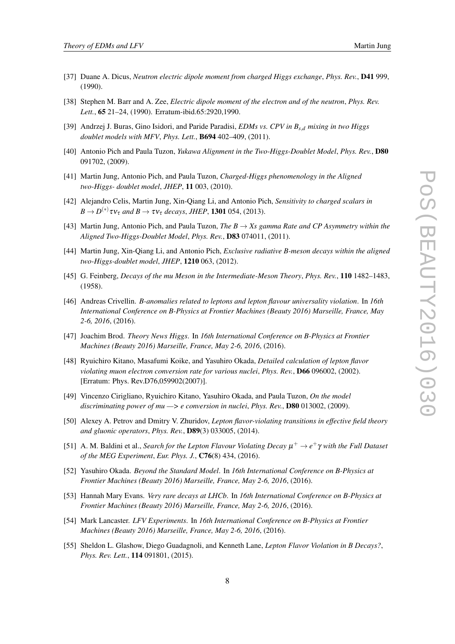- <span id="page-8-0"></span>[37] Duane A. Dicus, *Neutron electric dipole moment from charged Higgs exchange*, *Phys. Rev.*, D41 999, (1990).
- [38] Stephen M. Barr and A. Zee, *Electric dipole moment of the electron and of the neutron*, *Phys. Rev. Lett.*, 65 21–24, (1990). Erratum-ibid.65:2920,1990.
- [39] Andrzej J. Buras, Gino Isidori, and Paride Paradisi, *EDMs vs. CPV in Bs*,*<sup>d</sup> mixing in two Higgs doublet models with MFV*, *Phys. Lett.*, B694 402–409, (2011).
- [40] Antonio Pich and Paula Tuzon, *Yukawa Alignment in the Two-Higgs-Doublet Model*, *Phys. Rev.*, D80 091702, (2009).
- [41] Martin Jung, Antonio Pich, and Paula Tuzon, *Charged-Higgs phenomenology in the Aligned two-Higgs- doublet model*, *JHEP*, 11 003, (2010).
- [42] Alejandro Celis, Martin Jung, Xin-Qiang Li, and Antonio Pich, *Sensitivity to charged scalars in*  $B \to D^{(*)} \tau v_{\tau}$  and  $B \to \tau v_{\tau}$  decays, JHEP, **1301** 054, (2013).
- [43] Martin Jung, Antonio Pich, and Paula Tuzon, *The B* → *Xs gamma Rate and CP Asymmetry within the Aligned Two-Higgs-Doublet Model*, *Phys. Rev.*, D83 074011, (2011).
- [44] Martin Jung, Xin-Qiang Li, and Antonio Pich, *Exclusive radiative B-meson decays within the aligned two-Higgs-doublet model*, *JHEP*, 1210 063, (2012).
- [45] G. Feinberg, *Decays of the mu Meson in the Intermediate-Meson Theory*, *Phys. Rev.*, 110 1482–1483, (1958).
- [46] Andreas Crivellin. *B-anomalies related to leptons and lepton flavour universality violation*. In *16th International Conference on B-Physics at Frontier Machines (Beauty 2016) Marseille, France, May 2-6, 2016*, (2016).
- [47] Joachim Brod. *Theory News Higgs*. In *16th International Conference on B-Physics at Frontier Machines (Beauty 2016) Marseille, France, May 2-6, 2016*, (2016).
- [48] Ryuichiro Kitano, Masafumi Koike, and Yasuhiro Okada, *Detailed calculation of lepton flavor violating muon electron conversion rate for various nuclei*, *Phys. Rev.*, D66 096002, (2002). [Erratum: Phys. Rev.D76,059902(2007)].
- [49] Vincenzo Cirigliano, Ryuichiro Kitano, Yasuhiro Okada, and Paula Tuzon, *On the model discriminating power of mu —> e conversion in nuclei*, *Phys. Rev.*, D80 013002, (2009).
- [50] Alexey A. Petrov and Dmitry V. Zhuridov, *Lepton flavor-violating transitions in effective field theory and gluonic operators*, *Phys. Rev.*, D89(3) 033005, (2014).
- [51] A. M. Baldini et al., *Search for the Lepton Flavour Violating Decay*  $\mu^+ \to e^+ \gamma$  *with the Full Dataset of the MEG Experiment*, *Eur. Phys. J.*, C76(8) 434, (2016).
- [52] Yasuhiro Okada. *Beyond the Standard Model*. In *16th International Conference on B-Physics at Frontier Machines (Beauty 2016) Marseille, France, May 2-6, 2016*, (2016).
- [53] Hannah Mary Evans. *Very rare decays at LHCb*. In *16th International Conference on B-Physics at Frontier Machines (Beauty 2016) Marseille, France, May 2-6, 2016*, (2016).
- [54] Mark Lancaster. *LFV Experiments*. In *16th International Conference on B-Physics at Frontier Machines (Beauty 2016) Marseille, France, May 2-6, 2016*, (2016).
- [55] Sheldon L. Glashow, Diego Guadagnoli, and Kenneth Lane, *Lepton Flavor Violation in B Decays?*, *Phys. Rev. Lett.*, 114 091801, (2015).